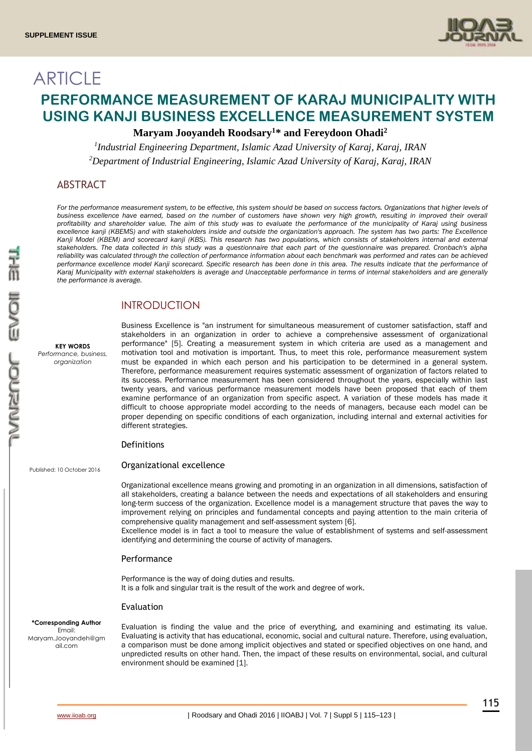

# **ARTICLE PERFORMANCE MEASUREMENT OF KARAJ MUNICIPALITY WITH USING KANJI BUSINESS EXCELLENCE MEASUREMENT SYSTEM**

# **Maryam Jooyandeh Roodsary<sup>1</sup>\* and Fereydoon Ohadi<sup>2</sup>**

*1 Industrial Engineering Department, Islamic Azad University of Karaj, Karaj, IRAN <sup>2</sup>Department of Industrial Engineering, Islamic Azad University of Karaj, Karaj, IRAN*

# ABSTRACT

For the performance measurement system, to be effective, this system should be based on success factors. Organizations that higher levels of *business excellence have earned, based on the number of customers have shown very high growth, resulting in improved their overall profitability and shareholder value. The aim of this study was to evaluate the performance of the municipality of Karaj using business excellence kanji (KBEMS) and with stakeholders inside and outside the organization's approach. The system has two parts: The Excellence*  Kanji Model (KBEM) and scorecard kanji (KBS). This research has two populations, which consists of stakeholders internal and external *stakeholders. The data collected in this study was a questionnaire that each part of the questionnaire was prepared. Cronbach's alpha reliability was calculated through the collection of performance information about each benchmark was performed and rates can be achieved performance excellence model Kanji scorecard. Specific research has been done in this area. The results indicate that the performance of Karaj Municipality with external stakeholders is average and Unacceptable performance in terms of internal stakeholders and are generally the performance is average.*

# INTRODUCTION

**KEY WORDS** *Performance, business, organization*

Business Excellence is "an instrument for simultaneous measurement of customer satisfaction, staff and stakeholders in an organization in order to achieve a comprehensive assessment of organizational performance" [5]. Creating a measurement system in which criteria are used as a management and motivation tool and motivation is important. Thus, to meet this role, performance measurement system must be expanded in which each person and his participation to be determined in a general system. Therefore, performance measurement requires systematic assessment of organization of factors related to its success. Performance measurement has been considered throughout the years, especially within last twenty years, and various performance measurement models have been proposed that each of them examine performance of an organization from specific aspect. A variation of these models has made it difficult to choose appropriate model according to the needs of managers, because each model can be proper depending on specific conditions of each organization, including internal and external activities for different strategies.

## Definitions

Published: 10 October 2016

Organizational excellence

Organizational excellence means growing and promoting in an organization in all dimensions, satisfaction of all stakeholders, creating a balance between the needs and expectations of all stakeholders and ensuring long-term success of the organization. Excellence model is a management structure that paves the way to improvement relying on principles and fundamental concepts and paying attention to the main criteria of comprehensive quality management and self-assessment system [6].

Excellence model is in fact a tool to measure the value of establishment of systems and self-assessment identifying and determining the course of activity of managers.

#### Performance

Performance is the way of doing duties and results. It is a folk and singular trait is the result of the work and degree of work.

#### Evaluation

**\*Corresponding Author** Email: Maryam.Jooyandeh@gm ail.com

Evaluation is finding the value and the price of everything, and examining and estimating its value. Evaluating is activity that has educational, economic, social and cultural nature. Therefore, using evaluation, a comparison must be done among implicit objectives and stated or specified objectives on one hand, and unpredicted results on other hand. Then, the impact of these results on environmental, social, and cultural environment should be examined [1].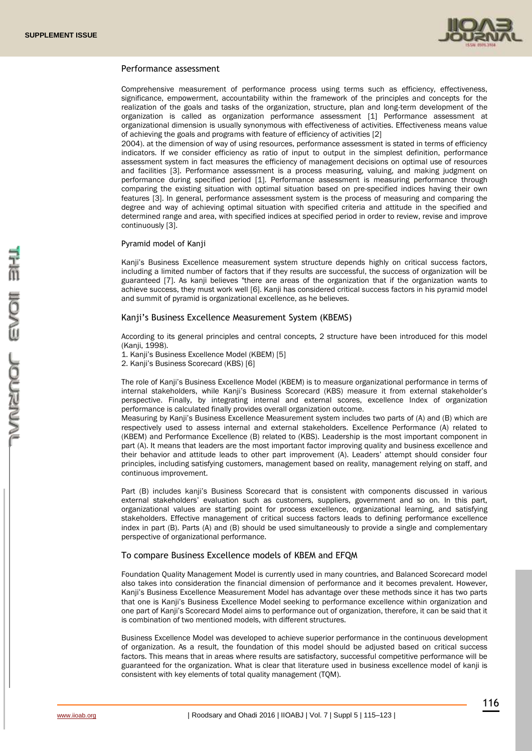

#### Performance assessment

Comprehensive measurement of performance process using terms such as efficiency, effectiveness, significance, empowerment, accountability within the framework of the principles and concepts for the realization of the goals and tasks of the organization, structure, plan and long-term development of the organization is called as organization performance assessment [1] Performance assessment at organizational dimension is usually synonymous with effectiveness of activities. Effectiveness means value of achieving the goals and programs with feature of efficiency of activities [2]

2004). at the dimension of way of using resources, performance assessment is stated in terms of efficiency indicators. If we consider efficiency as ratio of input to output in the simplest definition, performance assessment system in fact measures the efficiency of management decisions on optimal use of resources and facilities [3]. Performance assessment is a process measuring, valuing, and making judgment on performance during specified period [1]. Performance assessment is measuring performance through comparing the existing situation with optimal situation based on pre-specified indices having their own features [3]. In general, performance assessment system is the process of measuring and comparing the degree and way of achieving optimal situation with specified criteria and attitude in the specified and determined range and area, with specified indices at specified period in order to review, revise and improve continuously [3].

#### Pyramid model of Kanji

Kanji's Business Excellence measurement system structure depends highly on critical success factors, including a limited number of factors that if they results are successful, the success of organization will be guaranteed [7]. As kanji believes "there are areas of the organization that if the organization wants to achieve success, they must work well [6]. Kanji has considered critical success factors in his pyramid model and summit of pyramid is organizational excellence, as he believes.

# Kanji's Business Excellence Measurement System (KBEMS)

According to its general principles and central concepts, 2 structure have been introduced for this model (Kanji, 1998).

1. Kanji's Business Excellence Model (KBEM) [5] 2. Kanji's Business Scorecard (KBS) [6]

The role of Kanji's Business Excellence Model (KBEM) is to measure organizational performance in terms of internal stakeholders, while Kanji's Business Scorecard (KBS) measure it from external stakeholder's perspective. Finally, by integrating internal and external scores, excellence Index of organization performance is calculated finally provides overall organization outcome.

Measuring by Kanji's Business Excellence Measurement system includes two parts of (A) and (B) which are respectively used to assess internal and external stakeholders. Excellence Performance (A) related to (KBEM) and Performance Excellence (B) related to (KBS). Leadership is the most important component in part (A). It means that leaders are the most important factor improving quality and business excellence and their behavior and attitude leads to other part improvement (A). Leaders' attempt should consider four principles, including satisfying customers, management based on reality, management relying on staff, and continuous improvement.

Part (B) includes kanji's Business Scorecard that is consistent with components discussed in various external stakeholders' evaluation such as customers, suppliers, government and so on. In this part, organizational values are starting point for process excellence, organizational learning, and satisfying stakeholders. Effective management of critical success factors leads to defining performance excellence index in part (B). Parts (A) and (B) should be used simultaneously to provide a single and complementary perspective of organizational performance.

#### To compare Business Excellence models of KBEM and EFQM

Foundation Quality Management Model is currently used in many countries, and Balanced Scorecard model also takes into consideration the financial dimension of performance and it becomes prevalent. However, Kanji's Business Excellence Measurement Model has advantage over these methods since it has two parts that one is Kanji's Business Excellence Model seeking to performance excellence within organization and one part of Kanji's Scorecard Model aims to performance out of organization, therefore, it can be said that it is combination of two mentioned models, with different structures.

Business Excellence Model was developed to achieve superior performance in the continuous development of organization. As a result, the foundation of this model should be adjusted based on critical success factors. This means that in areas where results are satisfactory, successful competitive performance will be guaranteed for the organization. What is clear that literature used in business excellence model of kanji is consistent with key elements of total quality management (TQM).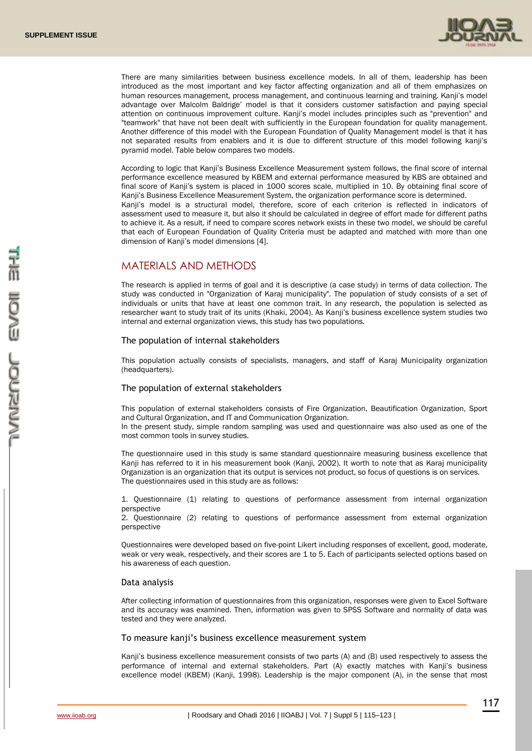

There are many similarities between business excellence models. In all of them, leadership has been introduced as the most important and key factor affecting organization and all of them emphasizes on human resources management, process management, and continuous learning and training. Kanji's model advantage over Malcolm Baldrige' model is that it considers customer satisfaction and paying special attention on continuous improvement culture. Kanji's model includes principles such as "prevention" and "teamwork" that have not been dealt with sufficiently in the European foundation for quality management. Another difference of this model with the European Foundation of Quality Management model is that it has not separated results from enablers and it is due to different structure of this model following kanji's pyramid model. Table below compares two models.

According to logic that Kanji's Business Excellence Measurement system follows, the final score of internal performance excellence measured by KBEM and external performance measured by KBS are obtained and final score of Kanji's system is placed in 1000 scores scale, multiplied in 10. By obtaining final score of Kanji's Business Excellence Measurement System, the organization performance score is determined. Kanji's model is a structural model, therefore, score of each criterion is reflected in indicators of assessment used to measure it, but also it should be calculated in degree of effort made for different paths to achieve it. As a result, if need to compare scores network exists in these two model, we should be careful that each of European Foundation of Quality Criteria must be adapted and matched with more than one dimension of Kanji's model dimensions [4].

# MATERIALS AND METHODS

The research is applied in terms of goal and it is descriptive (a case study) in terms of data collection. The study was conducted in "Organization of Karaj municipality". The population of study consists of a set of individuals or units that have at least one common trait. In any research, the population is selected as researcher want to study trait of its units (Khaki, 2004). As Kanji's business excellence system studies two internal and external organization views, this study has two populations.

#### The population of internal stakeholders

This population actually consists of specialists, managers, and staff of Karaj Municipality organization (headquarters).

## The population of external stakeholders

This population of external stakeholders consists of Fire Organization, Beautification Organization, Sport and Cultural Organization, and IT and Communication Organization.

In the present study, simple random sampling was used and questionnaire was also used as one of the most common tools in survey studies.

The questionnaire used in this study is same standard questionnaire measuring business excellence that Kanji has referred to it in his measurement book (Kanji, 2002). It worth to note that as Karaj municipality Organization is an organization that its output is services not product, so focus of questions is on services. The questionnaires used in this study are as follows:

1. Questionnaire (1) relating to questions of performance assessment from internal organization perspective

2. Questionnaire (2) relating to questions of performance assessment from external organization perspective

Questionnaires were developed based on five-point Likert including responses of excellent, good, moderate, weak or very weak, respectively, and their scores are 1 to 5. Each of participants selected options based on his awareness of each question.

#### Data analysis

After collecting information of questionnaires from this organization, responses were given to Excel Software and its accuracy was examined. Then, information was given to SPSS Software and normality of data was tested and they were analyzed.

# To measure kanji's business excellence measurement system

Kanji's business excellence measurement consists of two parts (A) and (B) used respectively to assess the performance of internal and external stakeholders. Part (A) exactly matches with Kanji's business excellence model (KBEM) (Kanji, 1998). Leadership is the major component (A), in the sense that most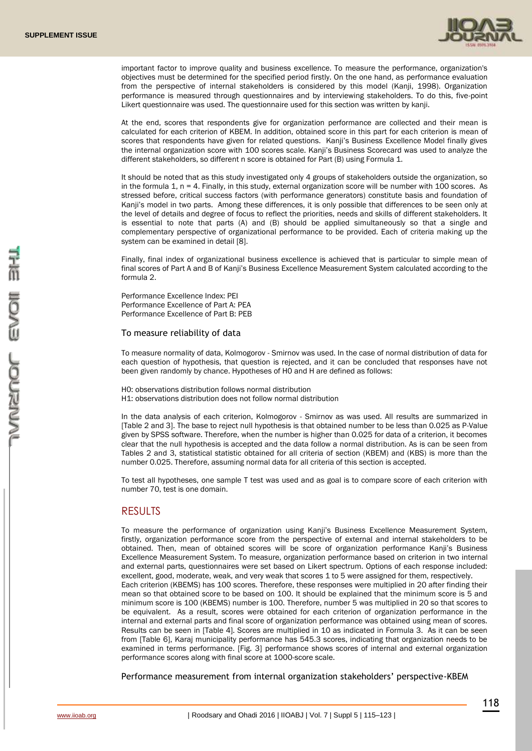

important factor to improve quality and business excellence. To measure the performance, organization's objectives must be determined for the specified period firstly. On the one hand, as performance evaluation from the perspective of internal stakeholders is considered by this model (Kanji, 1998). Organization performance is measured through questionnaires and by interviewing stakeholders. To do this, five-point Likert questionnaire was used. The questionnaire used for this section was written by kanji.

At the end, scores that respondents give for organization performance are collected and their mean is calculated for each criterion of KBEM. In addition, obtained score in this part for each criterion is mean of scores that respondents have given for related questions. Kanji's Business Excellence Model finally gives the internal organization score with 100 scores scale. Kanji's Business Scorecard was used to analyze the different stakeholders, so different n score is obtained for Part (B) using Formula 1.

It should be noted that as this study investigated only 4 groups of stakeholders outside the organization, so in the formula 1, n = 4. Finally, in this study, external organization score will be number with 100 scores. As stressed before, critical success factors (with performance generators) constitute basis and foundation of Kanji's model in two parts. Among these differences, it is only possible that differences to be seen only at the level of details and degree of focus to reflect the priorities, needs and skills of different stakeholders. It is essential to note that parts (A) and (B) should be applied simultaneously so that a single and complementary perspective of organizational performance to be provided. Each of criteria making up the system can be examined in detail [8].

Finally, final index of organizational business excellence is achieved that is particular to simple mean of final scores of Part A and B of Kanji's Business Excellence Measurement System calculated according to the formula 2.

Performance Excellence Index: PEI Performance Excellence of Part A: PEA Performance Excellence of Part B: PEB

#### To measure reliability of data

To measure normality of data, Kolmogorov - Smirnov was used. In the case of normal distribution of data for each question of hypothesis, that question is rejected, and it can be concluded that responses have not been given randomly by chance. Hypotheses of H0 and H are defined as follows:

H0: observations distribution follows normal distribution H1: observations distribution does not follow normal distribution

In the data analysis of each criterion, Kolmogorov - Smirnov as was used. All results are summarized in [Table 2 and 3]. The base to reject null hypothesis is that obtained number to be less than 0.025 as P-Value given by SPSS software. Therefore, when the number is higher than 0.025 for data of a criterion, it becomes clear that the null hypothesis is accepted and the data follow a normal distribution. As is can be seen from Tables 2 and 3, statistical statistic obtained for all criteria of section (KBEM) and (KBS) is more than the number 0.025. Therefore, assuming normal data for all criteria of this section is accepted.

To test all hypotheses, one sample T test was used and as goal is to compare score of each criterion with number 70, test is one domain.

## RESULTS

To measure the performance of organization using Kanji's Business Excellence Measurement System, firstly, organization performance score from the perspective of external and internal stakeholders to be obtained. Then, mean of obtained scores will be score of organization performance Kanji's Business Excellence Measurement System. To measure, organization performance based on criterion in two internal and external parts, questionnaires were set based on Likert spectrum. Options of each response included: excellent, good, moderate, weak, and very weak that scores 1 to 5 were assigned for them, respectively. Each criterion (KBEMS) has 100 scores. Therefore, these responses were multiplied in 20 after finding their mean so that obtained score to be based on 100. It should be explained that the minimum score is 5 and minimum score is 100 (KBEMS) number is 100. Therefore, number 5 was multiplied in 20 so that scores to be equivalent. As a result, scores were obtained for each criterion of organization performance in the internal and external parts and final score of organization performance was obtained using mean of scores. Results can be seen in [Table 4]. Scores are multiplied in 10 as indicated in Formula 3. As it can be seen from [Table 6], Karaj municipality performance has 545.3 scores, indicating that organization needs to be examined in terms performance. [Fig. 3] performance shows scores of internal and external organization performance scores along with final score at 1000-score scale.

Performance measurement from internal organization stakeholders' perspective-KBEM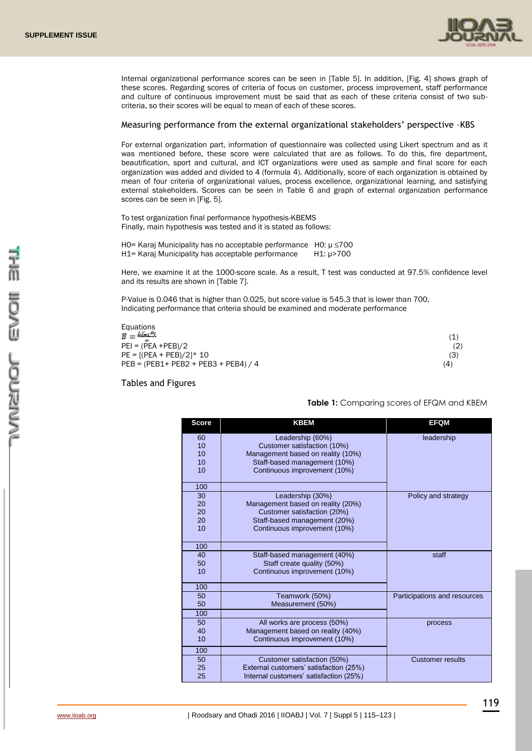

Internal organizational performance scores can be seen in [Table 5]. In addition, [Fig. 4] shows graph of these scores. Regarding scores of criteria of focus on customer, process improvement, staff performance and culture of continuous improvement must be said that as each of these criteria consist of two subcriteria, so their scores will be equal to mean of each of these scores.

#### Measuring performance from the external organizational stakeholders' perspective –KBS

For external organization part, information of questionnaire was collected using Likert spectrum and as it was mentioned before, these score were calculated that are as follows. To do this, fire department, beautification, sport and cultural, and ICT organizations were used as sample and final score for each organization was added and divided to 4 (formula 4). Additionally, score of each organization is obtained by mean of four criteria of organizational values, process excellence, organizational learning, and satisfying external stakeholders. Scores can be seen in Table 6 and graph of external organization performance scores can be seen in [Fig. 5].

To test organization final performance hypothesis-KBEMS Finally, main hypothesis was tested and it is stated as follows:

H0= Karaj Municipality has no acceptable performance H0: µ ≤700 H1= Karaj Municipality has acceptable performance H1: µ>700

Here, we examine it at the 1000-score scale. As a result, T test was conducted at 97.5% confidence level and its results are shown in [Table 7].

P-Value is 0.046 that is higher than 0.025, but score value is 545.3 that is lower than 700, Indicating performance that criteria should be examined and moderate performance

Equations<br> $B = \frac{\sum_{i=1}^{n} P_i}{n!}$  $PEI = (PEA + PEB)/2$  (2)  $PE = [(PEA + PEB)/2]^* 10$  (3) PEB = (PEB1+ PEB2 + PEB3 + PEB4) / 4 (4)

Tables and Figures

## **Table 1:** Comparing scores of EFQM and KBEM

(1)

| <b>Score</b> | <b>KBEM</b>                            | <b>EFQM</b>                  |
|--------------|----------------------------------------|------------------------------|
| 60           | Leadership (60%)                       | leadership                   |
| 10           | Customer satisfaction (10%)            |                              |
| 10           | Management based on reality (10%)      |                              |
| 10           | Staff-based management (10%)           |                              |
| 10           | Continuous improvement (10%)           |                              |
| 100          |                                        |                              |
| 30           | Leadership (30%)                       | Policy and strategy          |
| 20           | Management based on reality (20%)      |                              |
| 20           | Customer satisfaction (20%)            |                              |
| 20           | Staff-based management (20%)           |                              |
| 10           | Continuous improvement (10%)           |                              |
| 100          |                                        |                              |
| 40           | Staff-based management (40%)           | staff                        |
| 50           | Staff create quality (50%)             |                              |
| 10           | Continuous improvement (10%)           |                              |
| 100          |                                        |                              |
| 50           | Teamwork (50%)                         | Participations and resources |
| 50           | Measurement (50%)                      |                              |
| 100          |                                        |                              |
| 50           | All works are process (50%)            | process                      |
| 40           | Management based on reality (40%)      |                              |
| 10           | Continuous improvement (10%)           |                              |
| 100          |                                        |                              |
| 50           | Customer satisfaction (50%)            | <b>Customer results</b>      |
| 25           | External customers' satisfaction (25%) |                              |
| 25           | Internal customers' satisfaction (25%) |                              |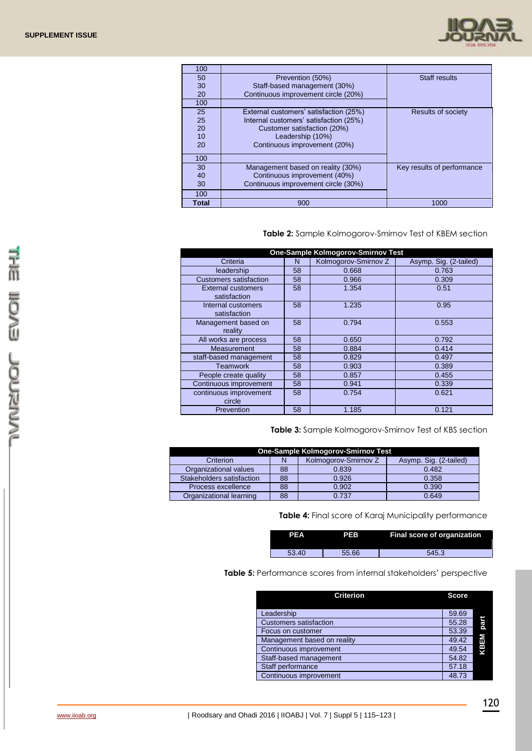

| 100   |                                        |                            |
|-------|----------------------------------------|----------------------------|
| 50    | Prevention (50%)                       | Staff results              |
| 30    | Staff-based management (30%)           |                            |
| 20    | Continuous improvement circle (20%)    |                            |
| 100   |                                        |                            |
| 25    | External customers' satisfaction (25%) | <b>Results of society</b>  |
| 25    | Internal customers' satisfaction (25%) |                            |
| 20    | Customer satisfaction (20%)            |                            |
| 10    | Leadership (10%)                       |                            |
| 20    | Continuous improvement (20%)           |                            |
| 100   |                                        |                            |
| 30    | Management based on reality (30%)      | Key results of performance |
| 40    | Continuous improvement (40%)           |                            |
| 30    | Continuous improvement circle (30%)    |                            |
| 100   |                                        |                            |
| Total | 900                                    | 1000                       |

# **Table 2:** Sample Kolmogorov-Smirnov Test of KBEM section

| <b>One-Sample Kolmogorov-Smirnov Test</b> |    |                      |                        |  |  |
|-------------------------------------------|----|----------------------|------------------------|--|--|
| Criteria                                  | N  | Kolmogorov-Smirnov Z | Asymp. Sig. (2-tailed) |  |  |
| leadership                                | 58 | 0.668                | 0.763                  |  |  |
| <b>Customers satisfaction</b>             | 58 | 0.966                | 0.309                  |  |  |
| External customers<br>satisfaction        | 58 | 1.354                | 0.51                   |  |  |
| Internal customers<br>satisfaction        | 58 | 1.235                | 0.95                   |  |  |
| Management based on<br>reality            | 58 | 0.794                | 0.553                  |  |  |
| All works are process                     | 58 | 0.650                | 0.792                  |  |  |
| Measurement                               | 58 | 0.884                | 0.414                  |  |  |
| staff-based management                    | 58 | 0.829                | 0.497                  |  |  |
| Teamwork                                  | 58 | 0.903                | 0.389                  |  |  |
| People create quality                     | 58 | 0.857                | 0.455                  |  |  |
| Continuous improvement                    | 58 | 0.941                | 0.339                  |  |  |
| continuous improvement<br>circle          | 58 | 0.754                | 0.621                  |  |  |
| Prevention                                | 58 | 1.185                | 0.121                  |  |  |

**Table 3:** Sample Kolmogorov-Smirnov Test of KBS section

|                           |    | One-Sample Kolmogorov-Smirnov Test |                        |
|---------------------------|----|------------------------------------|------------------------|
| Criterion                 |    | Kolmogorov-Smirnov Z               | Asymp. Sig. (2-tailed) |
| Organizational values     | 88 | 0.839                              | 0.482                  |
| Stakeholders satisfaction | 88 | 0.926                              | 0.358                  |
| Process excellence        | 88 | 0.902                              | 0.390                  |
| Organizational learning   | 88 | 0.737                              | 0.649                  |

**Table 4:** Final score of Karaj Municipality performance

| PEA   | <b>PEB</b> | <b>Final score of organization</b> |
|-------|------------|------------------------------------|
| 53.40 | 55.66      | 545.3                              |

**Table 5:** Performance scores from internal stakeholders' perspective

| <b>Criterion</b>              | <b>Score</b> |      |
|-------------------------------|--------------|------|
| Leadership                    | 59.69        |      |
| <b>Customers satisfaction</b> | 55.28        | part |
| Focus on customer             | 53.39        |      |
| Management based on reality   | 49.42        |      |
| Continuous improvement        | 49.54        | KBEM |
| Staff-based management        | 54.82        |      |
| Staff performance             | 57.18        |      |
| Continuous improvement        | 48.73        |      |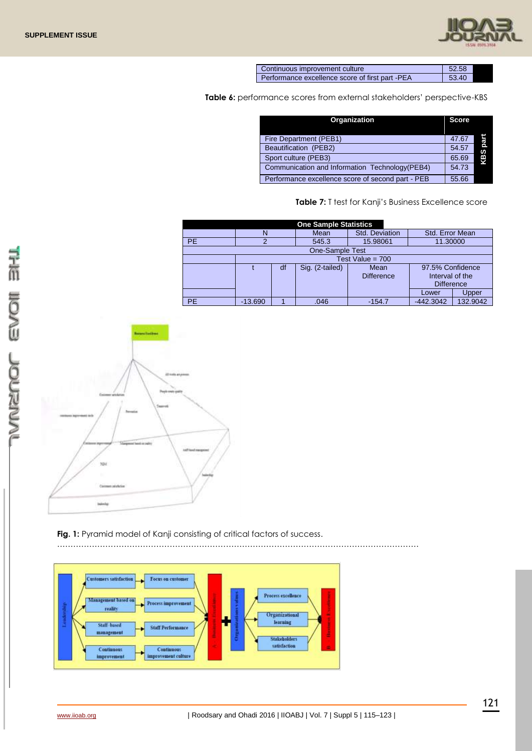

| Continuous improvement culture                  | 52.58 |  |
|-------------------------------------------------|-------|--|
| Performance excellence score of first part -PEA | 53.40 |  |

**Table 6:** performance scores from external stakeholders' perspective-KBS

| Organization                                      | <b>Score</b> |          |
|---------------------------------------------------|--------------|----------|
| Fire Department (PEB1)                            | 47.67        |          |
| Beautification (PEB2)                             | 54.57        | KBS part |
| Sport culture (PEB3)                              | 65.69        |          |
| Communication and Information Technology (PEB4)   | 54.73        |          |
| Performance excellence score of second part - PEB | 55.66        |          |

**Table 7:** T test for Kanji's Business Excellence score

| <b>One Sample Statistics</b> |                    |    |                        |                      |                   |          |  |  |
|------------------------------|--------------------|----|------------------------|----------------------|-------------------|----------|--|--|
|                              |                    |    | Mean                   | Std. Deviation       | Std. Error Mean   |          |  |  |
| <b>PE</b>                    |                    |    | 545.3                  | 15.98061<br>11.30000 |                   |          |  |  |
|                              |                    |    | <b>One-Sample Test</b> |                      |                   |          |  |  |
|                              | Test Value = $700$ |    |                        |                      |                   |          |  |  |
|                              |                    | df | Sig. (2-tailed)        | Mean                 | 97.5% Confidence  |          |  |  |
|                              |                    |    |                        | <b>Difference</b>    | Interval of the   |          |  |  |
|                              |                    |    |                        |                      | <b>Difference</b> |          |  |  |
|                              |                    |    |                        |                      | Lower             | Upper    |  |  |
| PE                           | $-13.690$          |    | .046                   | $-154.7$             | $-442.3042$       | 132.9042 |  |  |



# Fig. 1: Pyramid model of Kanji consisting of critical factors of success.

………………………………………………………………………………………………………………………

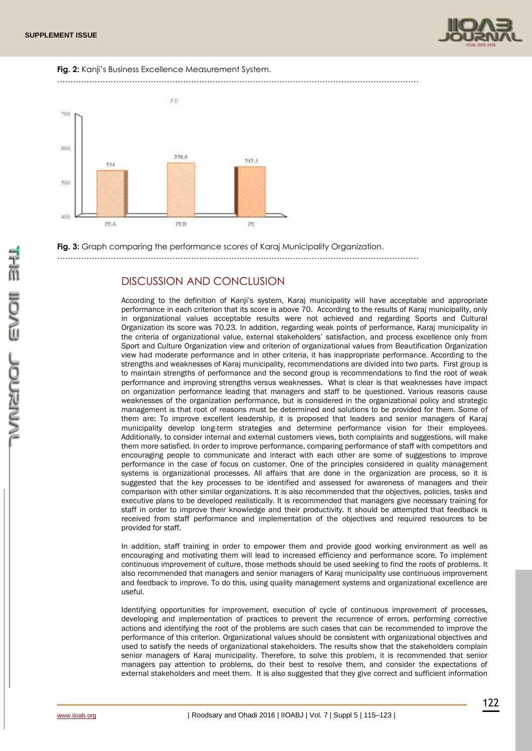





**Fig. 3:** Graph comparing the performance scores of Karaj Municipality Organization.

………………………………………………………………………………………………………………………

# DISCUSSION AND CONCLUSION

According to the definition of Kanji's system, Karaj municipality will have acceptable and appropriate performance in each criterion that its score is above 70. According to the results of Karaj municipality, only in organizational values acceptable results were not achieved and regarding Sports and Cultural Organization its score was 70.23. In addition, regarding weak points of performance, Karaj municipality in the criteria of organizational value, external stakeholders' satisfaction, and process excellence only from Sport and Culture Organization view and criterion of organizational values from Beautification Organization view had moderate performance and in other criteria, it has inappropriate performance. According to the strengths and weaknesses of Karaj municipality, recommendations are divided into two parts. First group is to maintain strengths of performance and the second group is recommendations to find the root of weak performance and improving strengths versus weaknesses. What is clear is that weaknesses have impact on organization performance leading that managers and staff to be questioned. Various reasons cause weaknesses of the organization performance, but is considered in the organizational policy and strategic management is that root of reasons must be determined and solutions to be provided for them. Some of them are: To improve excellent leadership, it is proposed that leaders and senior managers of Karaj municipality develop long-term strategies and determine performance vision for their employees. Additionally, to consider internal and external customers views, both complaints and suggestions, will make them more satisfied. In order to improve performance, comparing performance of staff with competitors and encouraging people to communicate and interact with each other are some of suggestions to improve performance in the case of focus on customer. One of the principles considered in quality management systems is organizational processes. All affairs that are done in the organization are process, so it is suggested that the key processes to be identified and assessed for awareness of managers and their comparison with other similar organizations. It is also recommended that the objectives, policies, tasks and executive plans to be developed realistically. It is recommended that managers give necessary training for staff in order to improve their knowledge and their productivity. It should be attempted that feedback is received from staff performance and implementation of the objectives and required resources to be provided for staff.

In addition, staff training in order to empower them and provide good working environment as well as encouraging and motivating them will lead to increased efficiency and performance score. To implement continuous improvement of culture, those methods should be used seeking to find the roots of problems. It also recommended that managers and senior managers of Karaj municipality use continuous improvement and feedback to improve. To do this, using quality management systems and organizational excellence are useful.

Identifying opportunities for improvement, execution of cycle of continuous improvement of processes, developing and implementation of practices to prevent the recurrence of errors, performing corrective actions and identifying the root of the problems are such cases that can be recommended to improve the performance of this criterion. Organizational values should be consistent with organizational objectives and used to satisfy the needs of organizational stakeholders. The results show that the stakeholders complain senior managers of Karaj municipality. Therefore, to solve this problem, it is recommended that senior managers pay attention to problems, do their best to resolve them, and consider the expectations of external stakeholders and meet them. It is also suggested that they give correct and sufficient information